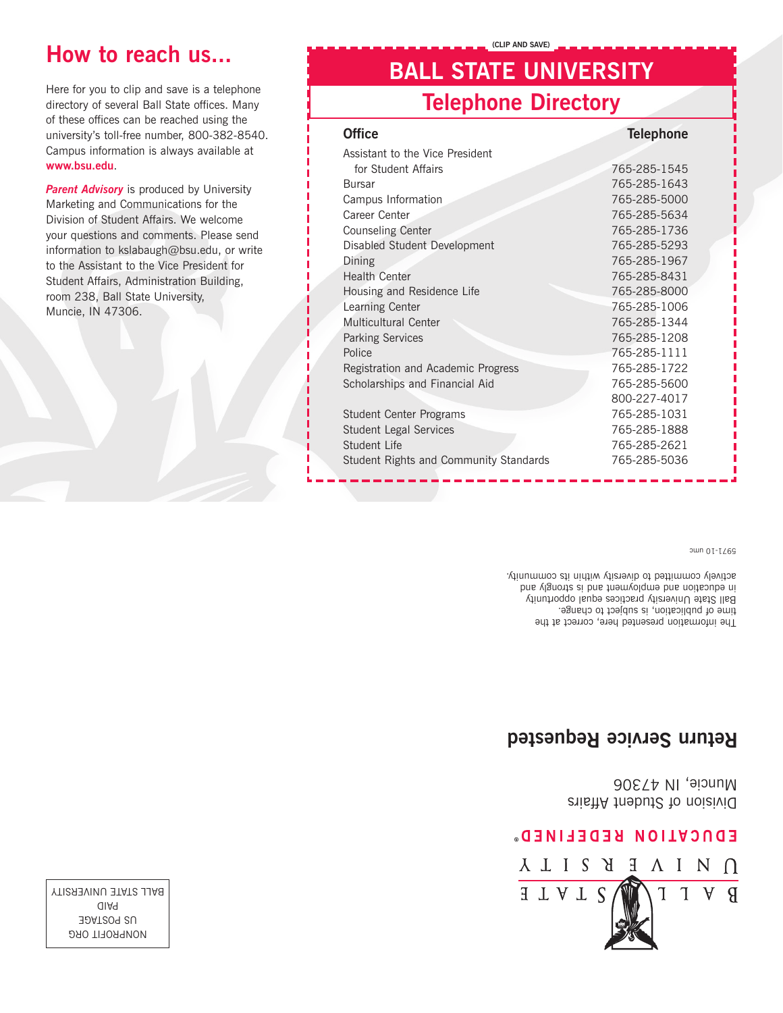

#### EDNCVIION KEDELINED.

Division of Student Affairs Muncie, IN 47306

### **Return Service Requested**

The information presented here, correct at the time of publication, is subject to change. Ball State University practices equal opportunity in education and the pue in the strongly and in the NB actively committed to diversity within its community.

9971-10 umc

| <b>Office</b>                          | <b>Telephone</b> |
|----------------------------------------|------------------|
| Assistant to the Vice President        |                  |
| for Student Affairs                    | 765-285-1545     |
| <b>Bursar</b>                          | 765-285-1643     |
| Campus Information                     | 765-285-5000     |
| Career Center                          | 765-285-5634     |
| <b>Counseling Center</b>               | 765-285-1736     |
| Disabled Student Development           | 765-285-5293     |
| Dining                                 | 765-285-1967     |
| <b>Health Center</b>                   | 765-285-8431     |
| Housing and Residence Life             | 765-285-8000     |
| Learning Center                        | 765-285-1006     |
| Multicultural Center                   | 765-285-1344     |
| <b>Parking Services</b>                | 765-285-1208     |
| Police                                 | 765-285-1111     |
| Registration and Academic Progress     | 765-285-1722     |
| Scholarships and Financial Aid         | 765-285-5600     |
|                                        | 800-227-4017     |
| <b>Student Center Programs</b>         | 765-285-1031     |
| <b>Student Legal Services</b>          | 765-285-1888     |
| Student Life                           | 765-285-2621     |
| Student Rights and Community Standards | 765-285-5036     |
|                                        |                  |

**BALL STATE UNIVERSITY**

**(CLIP AND SAVE)**

**Telephone Directory**

directory of several Ball State offices. Many of these offices can be reached using the university's toll-free number, 800-382-8540. Campus information is always available at **www.bsu.edu**.

Here for you to clip and save is a telephone

**Parent Advisory** is produced by University Marketing and Communications for the Division of Student Affairs. We welcome your questions and comments. Please send information to kslabaugh@bsu.edu, or write to the Assistant to the Vice President for Student Affairs, Administration Building, room 238, Ball State University, Muncie, IN 47306.

**DRO FIT ORG** US POSTAGE aid P BALL STATE UNIVERSITY

# **How to reach us...**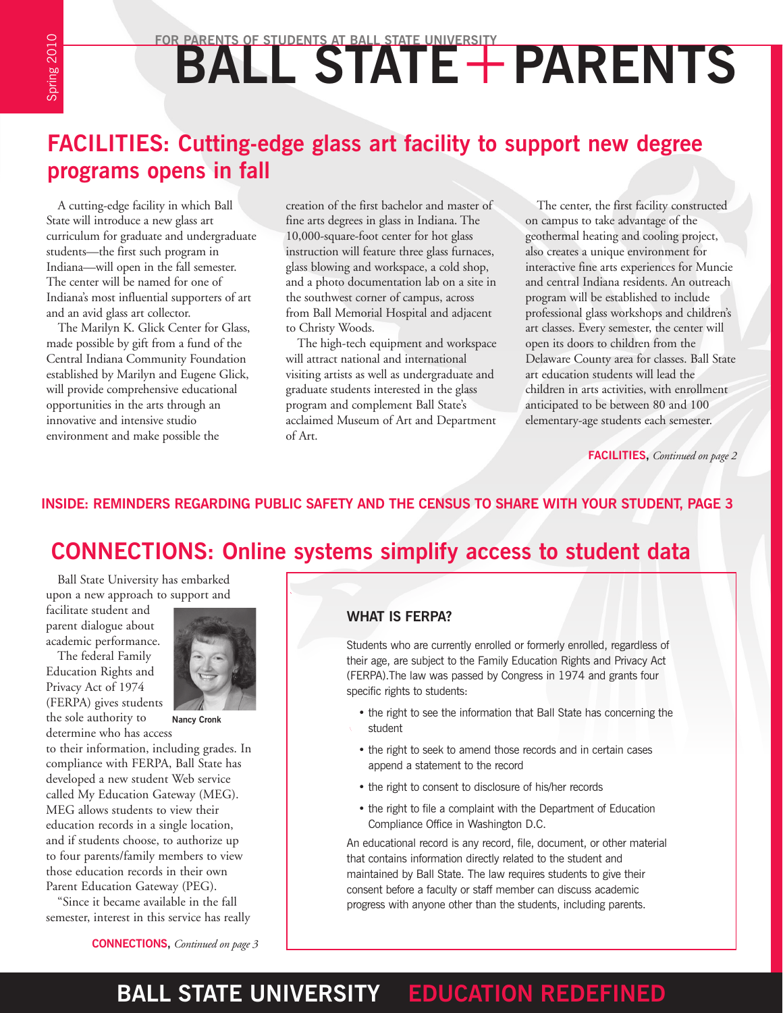# FOR PARENTS OF STUDENTS AT BALL STATE UNIVERSITY

Spring 2010 Spring 2010

# **FACILITIES: Cutting-edge glass art facility to support new degree programs opens in fall**

A cutting-edge facility in which Ball State will introduce a new glass art curriculum for graduate and undergraduate students—the first such program in Indiana—will open in the fall semester. The center will be named for one of Indiana's most influential supporters of art and an avid glass art collector.

The Marilyn K. Glick Center for Glass, made possible by gift from a fund of the Central Indiana Community Foundation established by Marilyn and Eugene Glick, will provide comprehensive educational opportunities in the arts through an innovative and intensive studio environment and make possible the

creation of the first bachelor and master of fine arts degrees in glass in Indiana. The 10,000-square-foot center for hot glass instruction will feature three glass furnaces, glass blowing and workspace, a cold shop, and a photo documentation lab on a site in the southwest corner of campus, across from Ball Memorial Hospital and adjacent to Christy Woods.

The high-tech equipment and workspace will attract national and international visiting artists as well as undergraduate and graduate students interested in the glass program and complement Ball State's acclaimed Museum of Art and Department of Art.

The center, the first facility constructed on campus to take advantage of the geothermal heating and cooling project, also creates a unique environment for interactive fine arts experiences for Muncie and central Indiana residents. An outreach program will be established to include professional glass workshops and children's art classes. Every semester, the center will open its doors to children from the Delaware County area for classes. Ball State art education students will lead the children in arts activities, with enrollment anticipated to be between 80 and 100 elementary-age students each semester.

**FACILITIES,** *Continued on page 2*

#### **INSIDE: REMINDERS REGARDING PUBLIC SAFETY AND THE CENSUS TO SHARE WITH YOUR STUDENT, PAGE 3**

## **CONNECTIONS: Online systems simplify access to student data**

Ball State University has embarked upon a new approach to support and

facilitate student and parent dialogue about academic performance.

The federal Family Education Rights and Privacy Act of 1974 (FERPA) gives students the sole authority to



**Nancy Cronk**

determine who has access to their information, including grades. In compliance with FERPA, Ball State has developed a new student Web service called My Education Gateway (MEG). MEG allows students to view their education records in a single location, and if students choose, to authorize up to four parents/family members to view those education records in their own Parent Education Gateway (PEG).

"Since it became available in the fall semester, interest in this service has really

#### **What is FERPA?**

Students who are currently enrolled or formerly enrolled, regardless of their age, are subject to the Family Education Rights and Privacy Act (FERPA).The law was passed by Congress in 1974 and grants four specific rights to students:

- the right to see the information that Ball State has concerning the student
- the right to seek to amend those records and in certain cases append a statement to the record
- the right to consent to disclosure of his/her records
- the right to file a complaint with the Department of Education Compliance Office in Washington D.C.

An educational record is any record, file, document, or other material that contains information directly related to the student and maintained by Ball State. The law requires students to give their consent before a faculty or staff member can discuss academic progress with anyone other than the students, including parents.

**CONNECTIONS,** *Continued on page 3*

# **BALL STATE UNIVERSITY EDUCATION REDEFINED**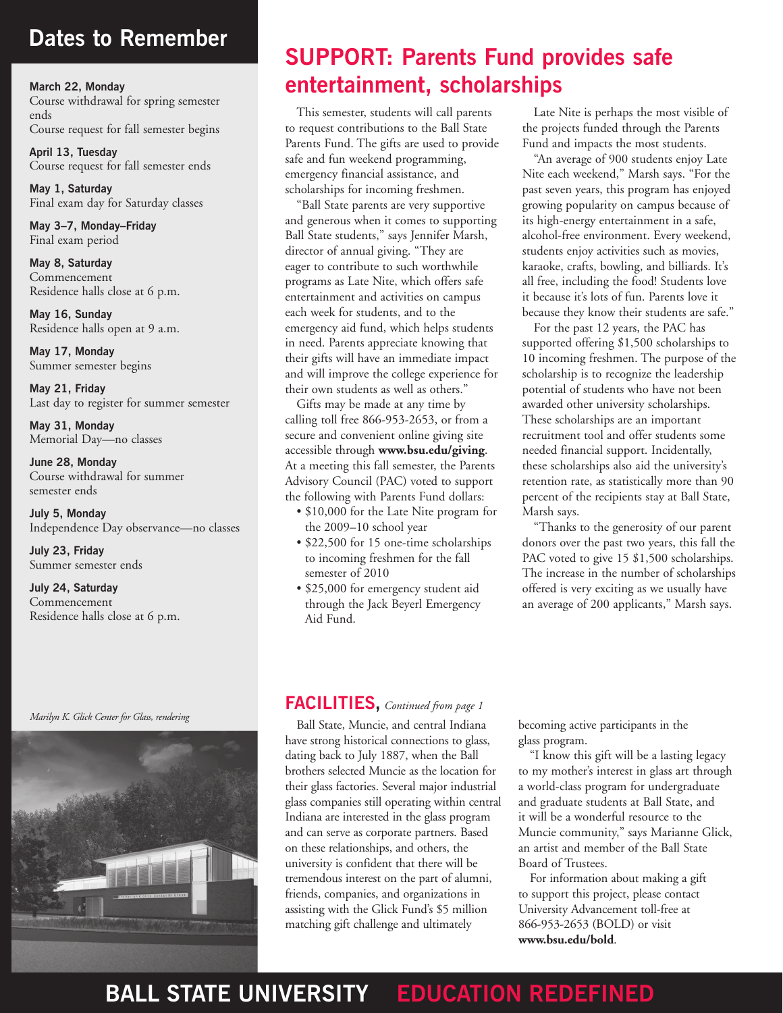# **Dates to Remember**

**March 22, Monday** Course withdrawal for spring semester ends Course request for fall semester begins

**April 13, Tuesday** Course request for fall semester ends

**May 1, Saturday** Final exam day for Saturday classes

**May 3–7, Monday–Friday** Final exam period

**May 8, Saturday** Commencement Residence halls close at 6 p.m.

**May 16, Sunday** Residence halls open at 9 a.m.

**May 17, Monday** Summer semester begins

**May 21, Friday** Last day to register for summer semester

**May 31, Monday** Memorial Day—no classes

**June 28, Monday** Course withdrawal for summer semester ends

**July 5, Monday** Independence Day observance—no classes

**July 23, Friday** Summer semester ends

**July 24, Saturday** Commencement Residence halls close at 6 p.m.

# *Marilyn K. Glick Center for Glass, rendering*

# **SUPPORT: Parents Fund provides safe entertainment, scholarships**

This semester, students will call parents to request contributions to the Ball State Parents Fund. The gifts are used to provide safe and fun weekend programming, emergency financial assistance, and scholarships for incoming freshmen.

"Ball State parents are very supportive and generous when it comes to supporting Ball State students," says Jennifer Marsh, director of annual giving. "They are eager to contribute to such worthwhile programs as Late Nite, which offers safe entertainment and activities on campus each week for students, and to the emergency aid fund, which helps students in need. Parents appreciate knowing that their gifts will have an immediate impact and will improve the college experience for their own students as well as others."

Gifts may be made at any time by calling toll free 866-953-2653, or from a secure and convenient online giving site accessible through **www.bsu.edu/giving**. At a meeting this fall semester, the Parents Advisory Council (PAC) voted to support the following with Parents Fund dollars:

- \$10,000 for the Late Nite program for the 2009–10 school year
- \$22,500 for 15 one-time scholarships to incoming freshmen for the fall semester of 2010
- \$25,000 for emergency student aid through the Jack Beyerl Emergency Aid Fund.

Late Nite is perhaps the most visible of the projects funded through the Parents Fund and impacts the most students.

"An average of 900 students enjoy Late Nite each weekend," Marsh says. "For the past seven years, this program has enjoyed growing popularity on campus because of its high-energy entertainment in a safe, alcohol-free environment. Every weekend, students enjoy activities such as movies, karaoke, crafts, bowling, and billiards. It's all free, including the food! Students love it because it's lots of fun. Parents love it because they know their students are safe."

For the past 12 years, the PAC has supported offering \$1,500 scholarships to 10 incoming freshmen. The purpose of the scholarship is to recognize the leadership potential of students who have not been awarded other university scholarships. These scholarships are an important recruitment tool and offer students some needed financial support. Incidentally, these scholarships also aid the university's retention rate, as statistically more than 90 percent of the recipients stay at Ball State, Marsh says.

"Thanks to the generosity of our parent donors over the past two years, this fall the PAC voted to give 15 \$1,500 scholarships. The increase in the number of scholarships offered is very exciting as we usually have an average of 200 applicants," Marsh says.

#### **FACILITIES,** *Continued from page 1*

Ball State, Muncie, and central Indiana have strong historical connections to glass, dating back to July 1887, when the Ball brothers selected Muncie as the location for their glass factories. Several major industrial glass companies still operating within central Indiana are interested in the glass program and can serve as corporate partners. Based on these relationships, and others, the university is confident that there will be tremendous interest on the part of alumni, friends, companies, and organizations in assisting with the Glick Fund's \$5 million matching gift challenge and ultimately

becoming active participants in the glass program.

"I know this gift will be a lasting legacy to my mother's interest in glass art through a world-class program for undergraduate and graduate students at Ball State, and it will be a wonderful resource to the Muncie community," says Marianne Glick, an artist and member of the Ball State Board of Trustees.

For information about making a gift to support this project, please contact University Advancement toll-free at 866-953-2653 (BOLD) or visit **www.bsu.edu/bold**.

# **BALL STATE UNIVERSITY EDUCATION REDEFINED**